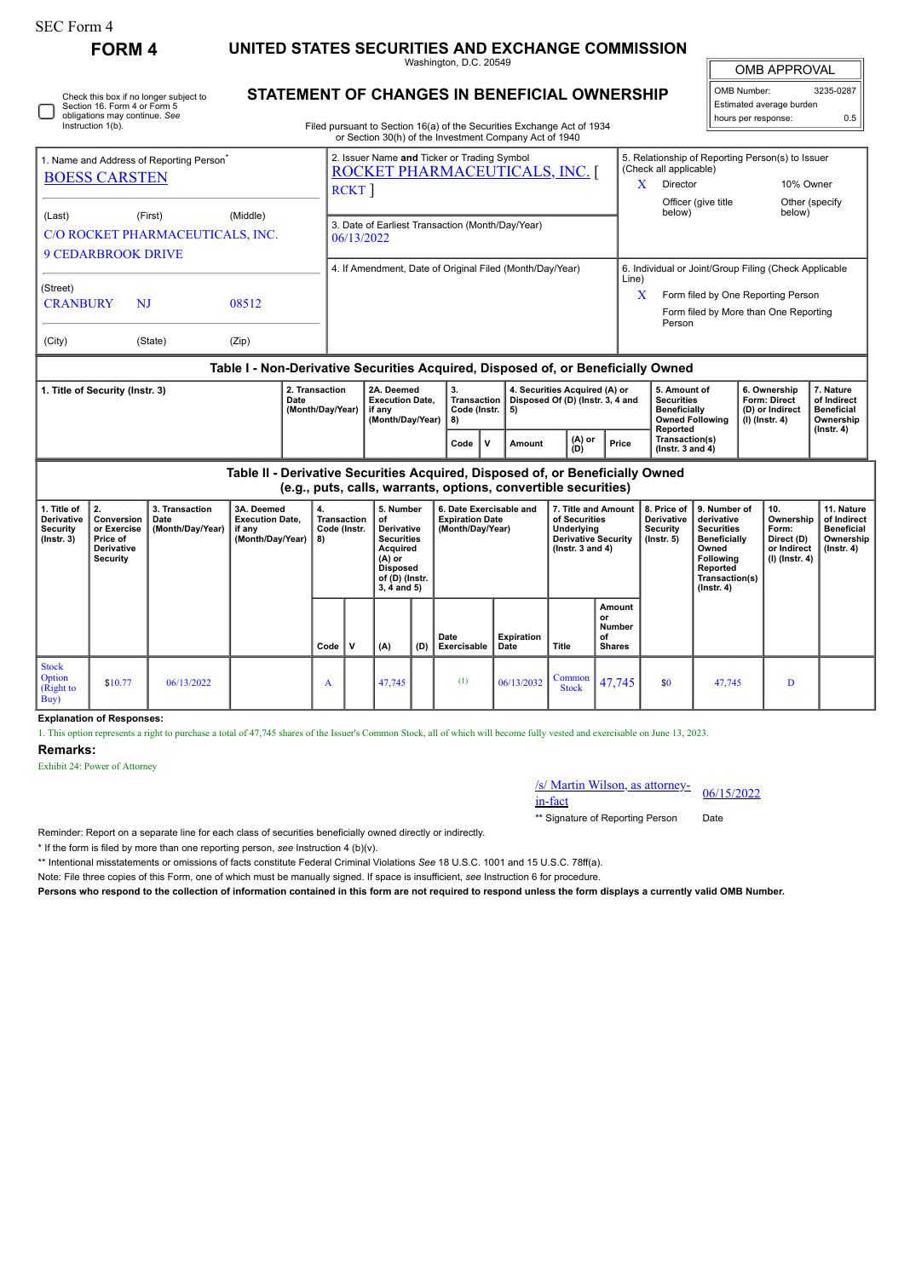П

Check this box if no longer subject to Section 16. Form 4 or Form 5 obligations may continue. *See* Instruction 1(b).

| FORM 4 | UNITED STATES SECURITIES AND EXCHANGE COMMISSION |
|--------|--------------------------------------------------|
|--------|--------------------------------------------------|

Washington, D.C. 20549

| <b>OMB APPROVAL</b>         |           |  |  |  |  |  |  |  |  |  |  |
|-----------------------------|-----------|--|--|--|--|--|--|--|--|--|--|
| OMB Number:                 | 3235-0287 |  |  |  |  |  |  |  |  |  |  |
| II Estimated average burden |           |  |  |  |  |  |  |  |  |  |  |

| STATEMENT OF CHANGES IN BENEFICIAL OWNERSHIP | OMB Number:              | 3235-0287 |
|----------------------------------------------|--------------------------|-----------|
|                                              | Estimated average burden |           |
|                                              | hours per response:      | 0.5       |

| Filed pursuant to Section 16(a) of the Securities Exchange Act of 1934 |  |
|------------------------------------------------------------------------|--|
| or Section 30(h) of the Investment Company Act of 1940                 |  |

|                                                                                                                                                                                |             |                |                  |                                                                                          |                                                                                                                                                              | or Section 30(h) of the Investment Company Act of 1940                           |          |                                    |                                                                                                                                                              |                                                                   |                 |       |                                                                                                                                                                       |                                                                                                |            |                                                                            |                                                            |  |
|--------------------------------------------------------------------------------------------------------------------------------------------------------------------------------|-------------|----------------|------------------|------------------------------------------------------------------------------------------|--------------------------------------------------------------------------------------------------------------------------------------------------------------|----------------------------------------------------------------------------------|----------|------------------------------------|--------------------------------------------------------------------------------------------------------------------------------------------------------------|-------------------------------------------------------------------|-----------------|-------|-----------------------------------------------------------------------------------------------------------------------------------------------------------------------|------------------------------------------------------------------------------------------------|------------|----------------------------------------------------------------------------|------------------------------------------------------------|--|
| 1. Name and Address of Reporting Person <sup>®</sup><br><b>BOESS CARSTEN</b><br>(Last)<br>(First)<br>(Middle)<br>C/O ROCKET PHARMACEUTICALS, INC.<br><b>9 CEDARBROOK DRIVE</b> |             |                |                  |                                                                                          | 2. Issuer Name and Ticker or Trading Symbol<br>ROCKET PHARMACEUTICALS, INC.<br><b>RCKT</b><br>3. Date of Earliest Transaction (Month/Day/Year)<br>06/13/2022 |                                                                                  |          |                                    |                                                                                                                                                              |                                                                   |                 |       | 5. Relationship of Reporting Person(s) to Issuer<br>(Check all applicable)<br>10% Owner<br>X<br>Director<br>Officer (give title<br>Other (specify<br>below)<br>below) |                                                                                                |            |                                                                            |                                                            |  |
| (Street)<br><b>CRANBURY</b><br>(City)                                                                                                                                          |             | NJ<br>(State)  | 08512<br>(Zip)   |                                                                                          |                                                                                                                                                              | 4. If Amendment, Date of Original Filed (Month/Day/Year)                         |          |                                    | 6. Individual or Joint/Group Filing (Check Applicable<br>Line)<br>x<br>Form filed by One Reporting Person<br>Form filed by More than One Reporting<br>Person |                                                                   |                 |       |                                                                                                                                                                       |                                                                                                |            |                                                                            |                                                            |  |
|                                                                                                                                                                                |             |                |                  |                                                                                          |                                                                                                                                                              | Table I - Non-Derivative Securities Acquired, Disposed of, or Beneficially Owned |          |                                    |                                                                                                                                                              |                                                                   |                 |       |                                                                                                                                                                       |                                                                                                |            |                                                                            |                                                            |  |
| 2. Transaction<br>1. Title of Security (Instr. 3)<br>Date<br>(Month/Day/Year)                                                                                                  |             |                |                  |                                                                                          |                                                                                                                                                              | 2A. Deemed<br><b>Execution Date.</b><br>if anv<br>(Month/Day/Year)               | 3.<br>8) | <b>Transaction</b><br>Code (Instr. | 5)                                                                                                                                                           | 4. Securities Acquired (A) or<br>Disposed Of (D) (Instr. 3, 4 and |                 |       |                                                                                                                                                                       | 5. Amount of<br><b>Securities</b><br><b>Beneficially</b><br><b>Owned Following</b><br>Reported |            | 6. Ownership<br><b>Form: Direct</b><br>(D) or Indirect<br>$(I)$ (Instr. 4) | 7. Nature<br>of Indirect<br><b>Beneficial</b><br>Ownership |  |
|                                                                                                                                                                                |             |                |                  |                                                                                          |                                                                                                                                                              |                                                                                  | Code     | ν                                  | Amount                                                                                                                                                       |                                                                   | $(A)$ or<br>(D) | Price | Transaction(s)<br>$($ lnstr. 3 and 4 $)$                                                                                                                              |                                                                                                |            |                                                                            | (Instr. 4)                                                 |  |
| Table II - Derivative Securities Acquired, Disposed of, or Beneficially Owned<br>(e.g., puts, calls, warrants, options, convertible securities)                                |             |                |                  |                                                                                          |                                                                                                                                                              |                                                                                  |          |                                    |                                                                                                                                                              |                                                                   |                 |       |                                                                                                                                                                       |                                                                                                |            |                                                                            |                                                            |  |
| 1. Title of                                                                                                                                                                    | <u>  2.</u> | 3. Transaction | 3A. Deemed<br>4. | 7. Title and Amount   8. Price of   9. Number of<br>5. Number<br>6. Date Exercisable and |                                                                                                                                                              |                                                                                  |          |                                    |                                                                                                                                                              |                                                                   |                 |       |                                                                                                                                                                       | 10.                                                                                            | 11. Nature |                                                                            |                                                            |  |

| 1. Title of<br>Derivative<br>Security<br>$($ lnstr. 3 $)$ | Conversion  <br>or Exercise<br>Price of<br>Derivative<br>Security | 3. Transaction<br>Date<br>(Month/Day/Year) | 3A. Deemed<br><b>Execution Date,</b><br>if any<br>(Month/Day/Year) | 4.<br>Transaction<br>Code (Instr.<br>8) |             | 5. Number<br>of<br><b>Derivative</b><br><b>Securities</b><br>Acquired<br>$(A)$ or<br><b>Disposed</b><br>of (D) (Instr.<br>$3, 4$ and $5)$ |     | 6. Date Exercisable and<br><b>Expiration Date</b><br>(Month/Day/Year) |                           | 7. Title and Amount<br>of Securities<br>Underlying<br><b>Derivative Security</b><br>( $lnstr.3$ and 4) |                                               | 8. Price of<br><b>Derivative</b><br>Security<br>$($ lnstr. 5 $)$ | ∣ 9. Number of<br>derivative<br><b>Securities</b><br>Beneficially<br>Owned<br>Following<br>Reported<br>Transaction(s)<br>$($ Instr. 4 $)$ | 10.<br>Ownership<br>Form:<br>Direct (D)<br>or Indirect<br>$\vert$ (I) (Instr. 4) $\vert$ | 11. Nature<br>of Indirect<br><b>Beneficial</b><br>Ownership<br>$($ Instr. 4 $)$ |
|-----------------------------------------------------------|-------------------------------------------------------------------|--------------------------------------------|--------------------------------------------------------------------|-----------------------------------------|-------------|-------------------------------------------------------------------------------------------------------------------------------------------|-----|-----------------------------------------------------------------------|---------------------------|--------------------------------------------------------------------------------------------------------|-----------------------------------------------|------------------------------------------------------------------|-------------------------------------------------------------------------------------------------------------------------------------------|------------------------------------------------------------------------------------------|---------------------------------------------------------------------------------|
|                                                           |                                                                   |                                            |                                                                    | Code                                    | $\mathbf v$ | (A)                                                                                                                                       | (D) | Date<br>Exercisable                                                   | <b>Expiration</b><br>Date | Title                                                                                                  | Amount<br>or<br>Number<br>οf<br><b>Shares</b> |                                                                  |                                                                                                                                           |                                                                                          |                                                                                 |
| <b>Stock</b><br>Option<br>(Right to<br>Buy)               | \$10.77                                                           | 06/13/2022                                 |                                                                    | A                                       |             | 47,745                                                                                                                                    |     | (1)                                                                   | 06/13/2032                | Common<br><b>Stock</b>                                                                                 | 47,745                                        | \$0                                                              | 47,745                                                                                                                                    | D                                                                                        |                                                                                 |

**Explanation of Responses:**

1. This option represents a right to purchase a total of 47,745 shares of the Issuer's Common Stock, all of which will become fully vested and exercisable on June 13, 2023.

## **Remarks:**

Exhibit 24: Power of Attorney

## /s/ Martin Wilson, as attorney-in-fact 06/15/2022

\*\* Signature of Reporting Person Date

Reminder: Report on a separate line for each class of securities beneficially owned directly or indirectly.

\* If the form is filed by more than one reporting person, *see* Instruction 4 (b)(v).

\*\* Intentional misstatements or omissions of facts constitute Federal Criminal Violations *See* 18 U.S.C. 1001 and 15 U.S.C. 78ff(a).

Note: File three copies of this Form, one of which must be manually signed. If space is insufficient, *see* Instruction 6 for procedure.

**Persons who respond to the collection of information contained in this form are not required to respond unless the form displays a currently valid OMB Number.**